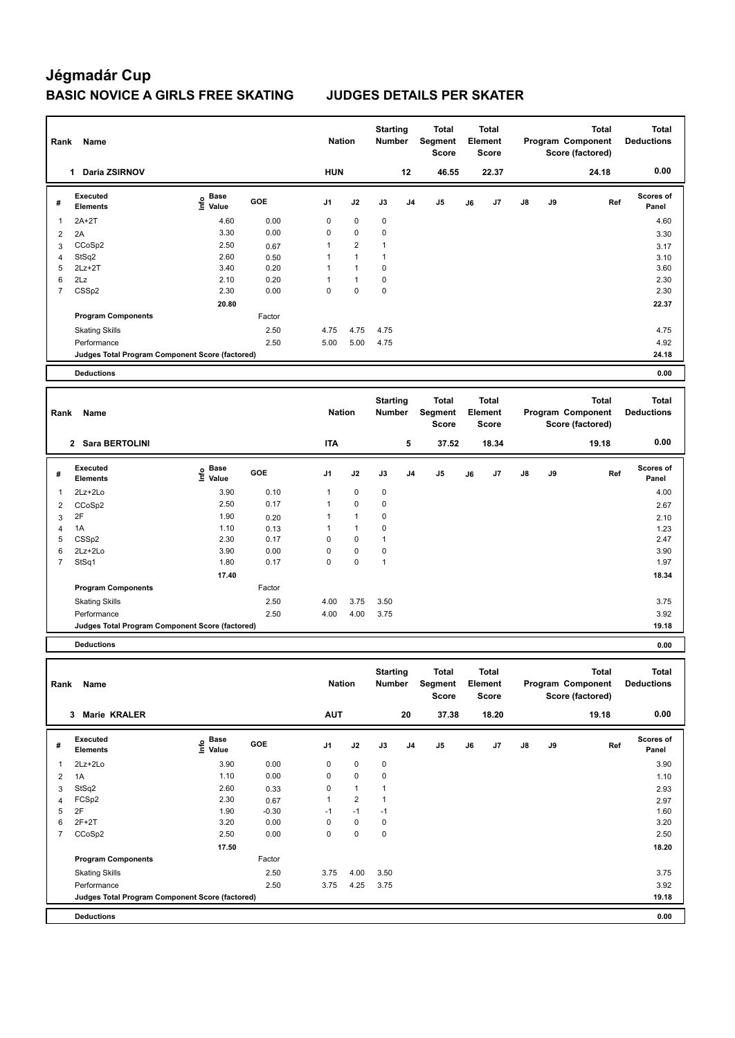| Rank           | Name                                            |                                           |         |                | <b>Nation</b>  | <b>Starting</b><br>Number |    | Total<br>Segment<br><b>Score</b> |    | Total<br>Element<br><b>Score</b> |    |    | <b>Total</b><br><b>Program Component</b><br>Score (factored) | <b>Total</b><br><b>Deductions</b> |
|----------------|-------------------------------------------------|-------------------------------------------|---------|----------------|----------------|---------------------------|----|----------------------------------|----|----------------------------------|----|----|--------------------------------------------------------------|-----------------------------------|
|                | 1 Daria ZSIRNOV                                 |                                           |         | <b>HUN</b>     |                |                           | 12 | 46.55                            |    | 22.37                            |    |    | 24.18                                                        | 0.00                              |
| #              | <b>Executed</b><br><b>Elements</b>              | Base<br>e Base<br>⊆ Value                 | GOE     | J1             | J2             | J3                        | J4 | J5                               | J6 | J7                               | J8 | J9 | Ref                                                          | <b>Scores of</b><br>Panel         |
| 1              | $2A+2T$                                         | 4.60                                      | 0.00    | $\mathbf 0$    | $\pmb{0}$      | 0                         |    |                                  |    |                                  |    |    |                                                              | 4.60                              |
| 2              | 2A                                              | 3.30                                      | 0.00    | $\mathbf 0$    | $\pmb{0}$      | 0                         |    |                                  |    |                                  |    |    |                                                              | 3.30                              |
| 3              | CCoSp2                                          | 2.50                                      | 0.67    | $\mathbf{1}$   | $\overline{2}$ | $\mathbf{1}$              |    |                                  |    |                                  |    |    |                                                              | 3.17                              |
| $\overline{4}$ | StSq2                                           | 2.60                                      | 0.50    | $\overline{1}$ | $\mathbf{1}$   | $\mathbf{1}$              |    |                                  |    |                                  |    |    |                                                              | 3.10                              |
| 5              | $2Lz + 2T$                                      | 3.40                                      | 0.20    | 1              | $\mathbf{1}$   | 0                         |    |                                  |    |                                  |    |    |                                                              | 3.60                              |
| 6              | 2Lz                                             | 2.10                                      | 0.20    | $\overline{1}$ | $\mathbf{1}$   | 0                         |    |                                  |    |                                  |    |    |                                                              | 2.30                              |
| $\overline{7}$ | CSSp2                                           | 2.30                                      | 0.00    | $\mathbf 0$    | $\mathbf 0$    | $\mathbf 0$               |    |                                  |    |                                  |    |    |                                                              | 2.30                              |
|                |                                                 | 20.80                                     |         |                |                |                           |    |                                  |    |                                  |    |    |                                                              | 22.37                             |
|                | <b>Program Components</b>                       |                                           | Factor  |                |                |                           |    |                                  |    |                                  |    |    |                                                              |                                   |
|                | <b>Skating Skills</b>                           |                                           | 2.50    | 4.75           | 4.75           | 4.75                      |    |                                  |    |                                  |    |    |                                                              | 4.75                              |
|                | Performance                                     |                                           | 2.50    | 5.00           | 5.00           | 4.75                      |    |                                  |    |                                  |    |    |                                                              | 4.92                              |
|                | Judges Total Program Component Score (factored) |                                           |         |                |                |                           |    |                                  |    |                                  |    |    |                                                              | 24.18                             |
|                | <b>Deductions</b>                               |                                           |         |                |                |                           |    |                                  |    |                                  |    |    |                                                              | 0.00                              |
|                |                                                 |                                           |         |                |                |                           |    |                                  |    |                                  |    |    |                                                              |                                   |
| Rank           | Name                                            |                                           |         |                | <b>Nation</b>  | <b>Starting</b><br>Number |    | Total<br>Segment<br><b>Score</b> |    | Total<br>Element<br><b>Score</b> |    |    | Total<br>Program Component<br>Score (factored)               | <b>Total</b><br><b>Deductions</b> |
|                | 2 Sara BERTOLINI                                |                                           |         | <b>ITA</b>     |                |                           | 5  | 37.52                            |    | 18.34                            |    |    | 19.18                                                        | 0.00                              |
|                | <b>Executed</b>                                 |                                           |         |                |                |                           |    |                                  |    |                                  |    |    |                                                              | Scores of                         |
| #              | <b>Elements</b>                                 | $\frac{e}{E}$ Base<br>$\frac{e}{E}$ Value | GOE     | J1             | J2             | J3                        | J4 | J5                               | J6 | J7                               | J8 | J9 | Ref                                                          | Panel                             |
| $\mathbf{1}$   | 2Lz+2Lo                                         | 3.90                                      | 0.10    | $\mathbf{1}$   | $\pmb{0}$      | $\mathbf 0$               |    |                                  |    |                                  |    |    |                                                              | 4.00                              |
| $\overline{2}$ | CCoSp2                                          | 2.50                                      | 0.17    | $\mathbf{1}$   | 0              | 0                         |    |                                  |    |                                  |    |    |                                                              | 2.67                              |
| 3              | 2F                                              | 1.90                                      | 0.20    | $\overline{1}$ | $\mathbf{1}$   | 0                         |    |                                  |    |                                  |    |    |                                                              | 2.10                              |
| $\overline{4}$ | 1A                                              | 1.10                                      | 0.13    | $\overline{1}$ | $\mathbf{1}$   | $\mathbf 0$               |    |                                  |    |                                  |    |    |                                                              | 1.23                              |
| 5              | CSS <sub>p2</sub>                               | 2.30                                      | 0.17    | 0              | $\pmb{0}$      | $\mathbf{1}$              |    |                                  |    |                                  |    |    |                                                              | 2.47                              |
| 6              | 2Lz+2Lo                                         | 3.90                                      | 0.00    | 0              | 0              | $\pmb{0}$                 |    |                                  |    |                                  |    |    |                                                              | 3.90                              |
| 7              | StSq1                                           | 1.80                                      | 0.17    | $\pmb{0}$      | $\pmb{0}$      | $\mathbf{1}$              |    |                                  |    |                                  |    |    |                                                              | 1.97                              |
|                |                                                 | 17.40                                     |         |                |                |                           |    |                                  |    |                                  |    |    |                                                              | 18.34                             |
|                | <b>Program Components</b>                       |                                           | Factor  |                |                |                           |    |                                  |    |                                  |    |    |                                                              |                                   |
|                | <b>Skating Skills</b>                           |                                           | 2.50    | 4.00           | 3.75           | 3.50                      |    |                                  |    |                                  |    |    |                                                              | 3.75                              |
|                | Performance                                     |                                           | 2.50    | 4.00           | 4.00           | 3.75                      |    |                                  |    |                                  |    |    |                                                              | 3.92                              |
|                | Judges Total Program Component Score (factored) |                                           |         |                |                |                           |    |                                  |    |                                  |    |    |                                                              | 19.18                             |
|                | <b>Deductions</b>                               |                                           |         |                |                |                           |    |                                  |    |                                  |    |    |                                                              | 0.00                              |
|                |                                                 |                                           |         |                |                |                           |    |                                  |    |                                  |    |    |                                                              |                                   |
|                | Rank Name                                       |                                           |         |                | <b>Nation</b>  | <b>Starting</b><br>Number |    | <b>Total</b><br>Segment<br>Score |    | <b>Total</b><br>Element<br>Score |    |    | <b>Total</b><br>Program Component<br>Score (factored)        | <b>Total</b><br><b>Deductions</b> |
|                | 3 Marie KRALER                                  |                                           |         | <b>AUT</b>     |                |                           | 20 | 37.38                            |    | 18.20                            |    |    | 19.18                                                        | 0.00                              |
| #              | <b>Executed</b>                                 | $\mathbf{e}$ Base<br>$\mathbf{f}$ Value   | GOE     | J1             | J2             | J3                        | J4 | J5                               | J6 | J7                               | J8 | J9 | Ref                                                          | Scores of                         |
|                | <b>Elements</b>                                 |                                           |         |                |                |                           |    |                                  |    |                                  |    |    |                                                              | Panel                             |
| 1              | 2Lz+2Lo                                         | 3.90                                      | 0.00    | 0              | 0              | $\pmb{0}$                 |    |                                  |    |                                  |    |    |                                                              | 3.90                              |
| 2              | 1A                                              | 1.10                                      | 0.00    | $\mathbf 0$    | 0              | $\pmb{0}$                 |    |                                  |    |                                  |    |    |                                                              | 1.10                              |
| 3              | StSq2                                           | 2.60                                      | 0.33    | 0              | $\mathbf{1}$   | 1                         |    |                                  |    |                                  |    |    |                                                              | 2.93                              |
| 4              | FCSp2                                           | 2.30                                      | 0.67    | 1              | $\overline{2}$ | $\mathbf{1}$              |    |                                  |    |                                  |    |    |                                                              | 2.97                              |
| 5              | 2F                                              | 1.90                                      | $-0.30$ | $-1$           | $-1$           | $-1$                      |    |                                  |    |                                  |    |    |                                                              | 1.60                              |
| 6              | $2F+2T$                                         | 3.20                                      | 0.00    | 0              | 0              | $\pmb{0}$                 |    |                                  |    |                                  |    |    |                                                              | 3.20                              |
| $\overline{7}$ | CCoSp2                                          | 2.50                                      | 0.00    | 0              | $\pmb{0}$      | 0                         |    |                                  |    |                                  |    |    |                                                              | 2.50                              |
|                |                                                 | 17.50                                     |         |                |                |                           |    |                                  |    |                                  |    |    |                                                              | 18.20                             |
|                | <b>Program Components</b>                       |                                           | Factor  |                |                |                           |    |                                  |    |                                  |    |    |                                                              |                                   |
|                | <b>Skating Skills</b>                           |                                           | 2.50    | 3.75           | 4.00           | 3.50                      |    |                                  |    |                                  |    |    |                                                              | 3.75                              |
|                | Performance                                     |                                           | 2.50    | 3.75           | 4.25           | 3.75                      |    |                                  |    |                                  |    |    |                                                              | 3.92                              |
|                | Judges Total Program Component Score (factored) |                                           |         |                |                |                           |    |                                  |    |                                  |    |    |                                                              | 19.18                             |
|                | <b>Deductions</b>                               |                                           |         |                |                |                           |    |                                  |    |                                  |    |    |                                                              | 0.00                              |
|                |                                                 |                                           |         |                |                |                           |    |                                  |    |                                  |    |    |                                                              |                                   |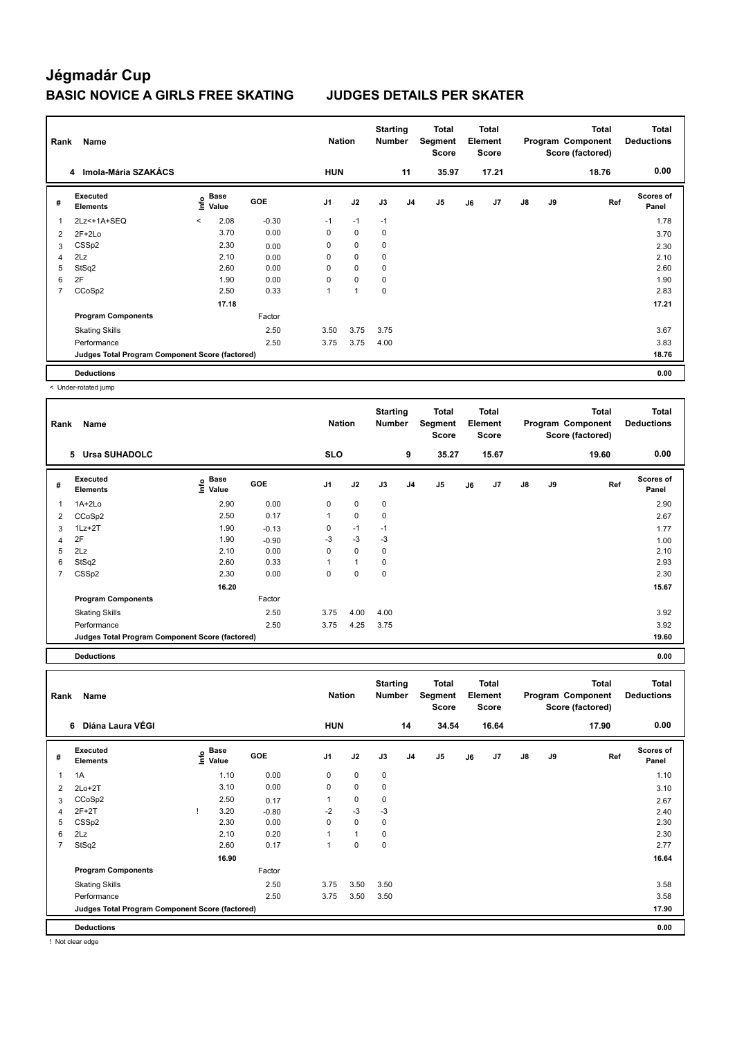| Rank           | Name<br>4 Imola-Mária SZAKÁCS                   |         |                      |            | <b>Nation</b>  |             | <b>Starting</b><br><b>Number</b> |                | Total<br>Segment<br><b>Score</b> |    | Total<br>Element<br><b>Score</b> |               |    | <b>Total</b><br>Program Component<br>Score (factored) | <b>Total</b><br><b>Deductions</b> |
|----------------|-------------------------------------------------|---------|----------------------|------------|----------------|-------------|----------------------------------|----------------|----------------------------------|----|----------------------------------|---------------|----|-------------------------------------------------------|-----------------------------------|
|                |                                                 |         |                      |            | <b>HUN</b>     |             |                                  | 11             | 35.97                            |    | 17.21                            |               |    | 18.76                                                 | 0.00                              |
| #              | <b>Executed</b><br><b>Elements</b>              | ١nf٥    | <b>Base</b><br>Value | <b>GOE</b> | J <sub>1</sub> | J2          | J3                               | J <sub>4</sub> | J <sub>5</sub>                   | J6 | J7                               | $\mathsf{J}8$ | J9 | Ref                                                   | <b>Scores of</b><br>Panel         |
| -1             | 2Lz<+1A+SEQ                                     | $\prec$ | 2.08                 | $-0.30$    | $-1$           | $-1$        | $-1$                             |                |                                  |    |                                  |               |    |                                                       | 1.78                              |
| $\overline{2}$ | $2F+2Lo$                                        |         | 3.70                 | 0.00       | 0              | $\mathbf 0$ | 0                                |                |                                  |    |                                  |               |    |                                                       | 3.70                              |
| 3              | CSS <sub>p2</sub>                               |         | 2.30                 | 0.00       | 0              | 0           | 0                                |                |                                  |    |                                  |               |    |                                                       | 2.30                              |
| 4              | 2Lz                                             |         | 2.10                 | 0.00       | 0              | $\mathbf 0$ | 0                                |                |                                  |    |                                  |               |    |                                                       | 2.10                              |
| 5              | StSq2                                           |         | 2.60                 | 0.00       | 0              | $\mathbf 0$ | 0                                |                |                                  |    |                                  |               |    |                                                       | 2.60                              |
| 6              | 2F                                              |         | 1.90                 | 0.00       | 0              | $\mathbf 0$ | 0                                |                |                                  |    |                                  |               |    |                                                       | 1.90                              |
| 7              | CCoSp2                                          |         | 2.50                 | 0.33       | 1              | 1           | 0                                |                |                                  |    |                                  |               |    |                                                       | 2.83                              |
|                |                                                 |         | 17.18                |            |                |             |                                  |                |                                  |    |                                  |               |    |                                                       | 17.21                             |
|                | <b>Program Components</b>                       |         |                      | Factor     |                |             |                                  |                |                                  |    |                                  |               |    |                                                       |                                   |
|                | <b>Skating Skills</b>                           |         |                      | 2.50       | 3.50           | 3.75        | 3.75                             |                |                                  |    |                                  |               |    |                                                       | 3.67                              |
|                | Performance                                     |         |                      | 2.50       | 3.75           | 3.75        | 4.00                             |                |                                  |    |                                  |               |    |                                                       | 3.83                              |
|                | Judges Total Program Component Score (factored) |         |                      |            |                |             |                                  |                |                                  |    |                                  |               |    |                                                       | 18.76                             |
|                | <b>Deductions</b>                               |         |                      |            |                |             |                                  |                |                                  |    |                                  |               |    |                                                       | 0.00                              |

< Under-rotated jump

|   | Rank<br>Name<br><b>Ursa SUHADOLC</b><br>5       |                              |         |                | <b>Nation</b> | <b>Starting</b><br><b>Number</b> |                | Total<br>Segment<br><b>Score</b> |    | <b>Total</b><br>Element<br><b>Score</b> |               |    | <b>Total</b><br>Program Component<br>Score (factored) | <b>Total</b><br><b>Deductions</b> |
|---|-------------------------------------------------|------------------------------|---------|----------------|---------------|----------------------------------|----------------|----------------------------------|----|-----------------------------------------|---------------|----|-------------------------------------------------------|-----------------------------------|
|   |                                                 |                              |         | <b>SLO</b>     |               |                                  | 9              | 35.27                            |    | 15.67                                   |               |    | 19.60                                                 | 0.00                              |
| # | Executed<br><b>Elements</b>                     | <b>Base</b><br>lnfo<br>Value | GOE     | J <sub>1</sub> | J2            | J3                               | J <sub>4</sub> | J5                               | J6 | J7                                      | $\mathsf{J}8$ | J9 | Ref                                                   | Scores of<br>Panel                |
|   | $1A+2Lo$                                        | 2.90                         | 0.00    | 0              | $\mathbf 0$   | 0                                |                |                                  |    |                                         |               |    |                                                       | 2.90                              |
| 2 | CCoSp2                                          | 2.50                         | 0.17    |                | $\mathbf 0$   | 0                                |                |                                  |    |                                         |               |    |                                                       | 2.67                              |
| 3 | $1Lz + 2T$                                      | 1.90                         | $-0.13$ | 0              | $-1$          | $-1$                             |                |                                  |    |                                         |               |    |                                                       | 1.77                              |
| 4 | 2F                                              | 1.90                         | $-0.90$ | $-3$           | $-3$          | -3                               |                |                                  |    |                                         |               |    |                                                       | 1.00                              |
| 5 | 2Lz                                             | 2.10                         | 0.00    | 0              | $\mathbf 0$   | 0                                |                |                                  |    |                                         |               |    |                                                       | 2.10                              |
| 6 | StSq2                                           | 2.60                         | 0.33    |                | $\mathbf{1}$  | 0                                |                |                                  |    |                                         |               |    |                                                       | 2.93                              |
| 7 | CSS <sub>p2</sub>                               | 2.30                         | 0.00    | 0              | $\mathbf 0$   | 0                                |                |                                  |    |                                         |               |    |                                                       | 2.30                              |
|   |                                                 | 16.20                        |         |                |               |                                  |                |                                  |    |                                         |               |    |                                                       | 15.67                             |
|   | <b>Program Components</b>                       |                              | Factor  |                |               |                                  |                |                                  |    |                                         |               |    |                                                       |                                   |
|   | <b>Skating Skills</b>                           |                              | 2.50    | 3.75           | 4.00          | 4.00                             |                |                                  |    |                                         |               |    |                                                       | 3.92                              |
|   | Performance                                     |                              | 2.50    | 3.75           | 4.25          | 3.75                             |                |                                  |    |                                         |               |    |                                                       | 3.92                              |
|   | Judges Total Program Component Score (factored) |                              |         |                |               |                                  |                |                                  |    |                                         |               |    |                                                       | 19.60                             |
|   | <b>Deductions</b>                               |                              |         |                |               |                                  |                |                                  |    |                                         |               |    |                                                       | 0.00                              |

| Rank | Name<br>Diána Laura VÉGI<br>6                   |  |                                  |            | <b>Nation</b> |              | <b>Starting</b><br><b>Number</b> |                | Total<br>Segment<br><b>Score</b> |    | Total<br>Element<br><b>Score</b> |               |    | <b>Total</b><br>Program Component<br>Score (factored) | Total<br><b>Deductions</b> |
|------|-------------------------------------------------|--|----------------------------------|------------|---------------|--------------|----------------------------------|----------------|----------------------------------|----|----------------------------------|---------------|----|-------------------------------------------------------|----------------------------|
|      |                                                 |  |                                  |            | <b>HUN</b>    |              |                                  | 14             | 34.54                            |    | 16.64                            |               |    | 17.90                                                 | 0.00                       |
| #    | Executed<br><b>Elements</b>                     |  | <b>Base</b><br>o Base<br>⊆ Value | <b>GOE</b> | J1            | J2           | J3                               | J <sub>4</sub> | J <sub>5</sub>                   | J6 | J7                               | $\mathsf{J}8$ | J9 | Ref                                                   | <b>Scores of</b><br>Panel  |
|      | 1A                                              |  | 1.10                             | 0.00       | 0             | $\mathbf 0$  | $\mathbf 0$                      |                |                                  |    |                                  |               |    |                                                       | 1.10                       |
| 2    | $2Lo+2T$                                        |  | 3.10                             | 0.00       | 0             | $\mathbf 0$  | $\mathbf 0$                      |                |                                  |    |                                  |               |    |                                                       | 3.10                       |
| 3    | CCoSp2                                          |  | 2.50                             | 0.17       | 1             | $\mathbf 0$  | 0                                |                |                                  |    |                                  |               |    |                                                       | 2.67                       |
| 4    | $2F+2T$                                         |  | 3.20                             | $-0.80$    | $-2$          | $-3$         | $-3$                             |                |                                  |    |                                  |               |    |                                                       | 2.40                       |
| 5    | CSS <sub>p2</sub>                               |  | 2.30                             | 0.00       | 0             | $\mathbf 0$  | $\mathbf 0$                      |                |                                  |    |                                  |               |    |                                                       | 2.30                       |
| 6    | 2Lz                                             |  | 2.10                             | 0.20       | 1             | $\mathbf{1}$ | 0                                |                |                                  |    |                                  |               |    |                                                       | 2.30                       |
| 7    | StSq2                                           |  | 2.60                             | 0.17       | 1             | $\mathbf 0$  | $\mathbf 0$                      |                |                                  |    |                                  |               |    |                                                       | 2.77                       |
|      |                                                 |  | 16.90                            |            |               |              |                                  |                |                                  |    |                                  |               |    |                                                       | 16.64                      |
|      | <b>Program Components</b>                       |  |                                  | Factor     |               |              |                                  |                |                                  |    |                                  |               |    |                                                       |                            |
|      | <b>Skating Skills</b>                           |  |                                  | 2.50       | 3.75          | 3.50         | 3.50                             |                |                                  |    |                                  |               |    |                                                       | 3.58                       |
|      | Performance                                     |  |                                  | 2.50       | 3.75          | 3.50         | 3.50                             |                |                                  |    |                                  |               |    |                                                       | 3.58                       |
|      | Judges Total Program Component Score (factored) |  |                                  |            |               |              |                                  |                |                                  |    |                                  |               |    |                                                       | 17.90                      |
|      | <b>Deductions</b>                               |  |                                  |            |               |              |                                  |                |                                  |    |                                  |               |    |                                                       | 0.00                       |

! Not clear edge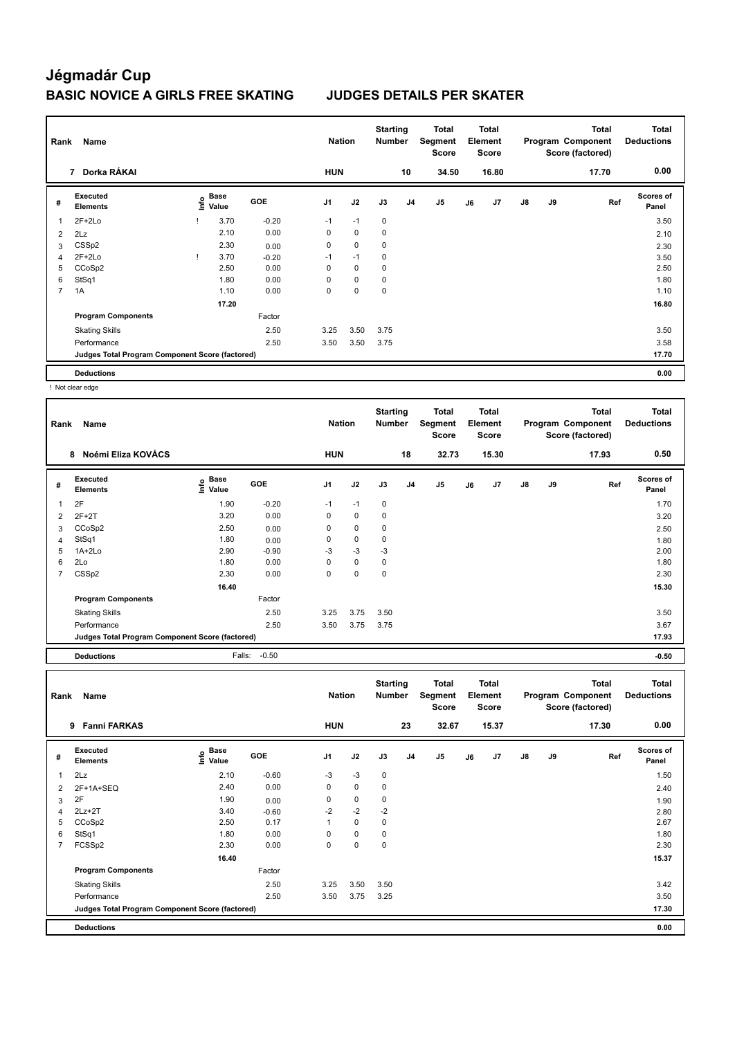| Rank | Name                                            |      | <b>Nation</b> |            | <b>Starting</b><br><b>Number</b> |             | Total<br>Segment<br><b>Score</b> |                | Total<br>Element<br><b>Score</b> |    |       | <b>Total</b><br>Program Component<br>Score (factored) | Total<br><b>Deductions</b> |       |                    |
|------|-------------------------------------------------|------|---------------|------------|----------------------------------|-------------|----------------------------------|----------------|----------------------------------|----|-------|-------------------------------------------------------|----------------------------|-------|--------------------|
|      | Dorka RÁKAI<br>$\overline{7}$                   |      |               |            | <b>HUN</b>                       |             |                                  | 10             | 34.50                            |    | 16.80 |                                                       |                            | 17.70 | 0.00               |
| #    | Executed<br><b>Elements</b>                     | ١nf٥ | Base<br>Value | <b>GOE</b> | J1                               | J2          | J3                               | J <sub>4</sub> | J <sub>5</sub>                   | J6 | J7    | $\mathsf{J}8$                                         | J9                         | Ref   | Scores of<br>Panel |
| 1    | $2F+2Lo$                                        |      | 3.70          | $-0.20$    | $-1$                             | $-1$        | 0                                |                |                                  |    |       |                                                       |                            |       | 3.50               |
| 2    | 2Lz                                             |      | 2.10          | 0.00       | 0                                | $\mathbf 0$ | 0                                |                |                                  |    |       |                                                       |                            |       | 2.10               |
| 3    | CSS <sub>p2</sub>                               |      | 2.30          | 0.00       | 0                                | 0           | 0                                |                |                                  |    |       |                                                       |                            |       | 2.30               |
| 4    | $2F+2Lo$                                        |      | 3.70          | $-0.20$    | $-1$                             | $-1$        | 0                                |                |                                  |    |       |                                                       |                            |       | 3.50               |
| 5    | CCoSp2                                          |      | 2.50          | 0.00       | 0                                | 0           | 0                                |                |                                  |    |       |                                                       |                            |       | 2.50               |
| 6    | StSq1                                           |      | 1.80          | 0.00       | 0                                | 0           | 0                                |                |                                  |    |       |                                                       |                            |       | 1.80               |
| 7    | 1A                                              |      | 1.10          | 0.00       | 0                                | 0           | 0                                |                |                                  |    |       |                                                       |                            |       | 1.10               |
|      |                                                 |      | 17.20         |            |                                  |             |                                  |                |                                  |    |       |                                                       |                            |       | 16.80              |
|      | <b>Program Components</b>                       |      |               | Factor     |                                  |             |                                  |                |                                  |    |       |                                                       |                            |       |                    |
|      | <b>Skating Skills</b>                           |      |               | 2.50       | 3.25                             | 3.50        | 3.75                             |                |                                  |    |       |                                                       |                            |       | 3.50               |
|      | Performance                                     |      |               | 2.50       | 3.50                             | 3.50        | 3.75                             |                |                                  |    |       |                                                       |                            |       | 3.58               |
|      | Judges Total Program Component Score (factored) |      |               |            |                                  |             |                                  |                |                                  |    |       |                                                       |                            |       | 17.70              |
|      | <b>Deductions</b>                               |      |               |            |                                  |             |                                  |                |                                  |    |       |                                                       |                            |       | 0.00               |

! Not clear edge

| Rank | Name                                            |                              |            | <b>Nation</b>  |             | <b>Starting</b><br><b>Number</b> |                | Total<br>Segment<br><b>Score</b> |    | Total<br>Element<br><b>Score</b> |               |    | <b>Total</b><br>Program Component<br>Score (factored) | Total<br><b>Deductions</b> |
|------|-------------------------------------------------|------------------------------|------------|----------------|-------------|----------------------------------|----------------|----------------------------------|----|----------------------------------|---------------|----|-------------------------------------------------------|----------------------------|
|      | Noémi Eliza KOVÁCS<br>8                         |                              |            | <b>HUN</b>     |             |                                  | 18             | 32.73                            |    | 15.30                            |               |    | 17.93                                                 | 0.50                       |
| #    | Executed<br><b>Elements</b>                     | <b>Base</b><br>lnfo<br>Value | <b>GOE</b> | J <sub>1</sub> | J2          | J3                               | J <sub>4</sub> | J5                               | J6 | J7                               | $\mathsf{J}8$ | J9 | Ref                                                   | <b>Scores of</b><br>Panel  |
| 1    | 2F                                              | 1.90                         | $-0.20$    | $-1$           | $-1$        | 0                                |                |                                  |    |                                  |               |    |                                                       | 1.70                       |
| 2    | $2F+2T$                                         | 3.20                         | 0.00       | $\mathbf 0$    | $\mathbf 0$ | 0                                |                |                                  |    |                                  |               |    |                                                       | 3.20                       |
| 3    | CCoSp2                                          | 2.50                         | 0.00       | 0              | $\mathbf 0$ | 0                                |                |                                  |    |                                  |               |    |                                                       | 2.50                       |
| 4    | StSq1                                           | 1.80                         | 0.00       | 0              | $\mathbf 0$ | 0                                |                |                                  |    |                                  |               |    |                                                       | 1.80                       |
| 5    | $1A+2Lo$                                        | 2.90                         | $-0.90$    | -3             | $-3$        | $-3$                             |                |                                  |    |                                  |               |    |                                                       | 2.00                       |
| 6    | 2Lo                                             | 1.80                         | 0.00       | 0              | $\mathbf 0$ | 0                                |                |                                  |    |                                  |               |    |                                                       | 1.80                       |
|      | CSS <sub>p2</sub>                               | 2.30                         | 0.00       | 0              | $\mathbf 0$ | $\mathbf 0$                      |                |                                  |    |                                  |               |    |                                                       | 2.30                       |
|      |                                                 | 16.40                        |            |                |             |                                  |                |                                  |    |                                  |               |    |                                                       | 15.30                      |
|      | <b>Program Components</b>                       |                              | Factor     |                |             |                                  |                |                                  |    |                                  |               |    |                                                       |                            |
|      | <b>Skating Skills</b>                           |                              | 2.50       | 3.25           | 3.75        | 3.50                             |                |                                  |    |                                  |               |    |                                                       | 3.50                       |
|      | Performance                                     |                              | 2.50       | 3.50           | 3.75        | 3.75                             |                |                                  |    |                                  |               |    |                                                       | 3.67                       |
|      | Judges Total Program Component Score (factored) |                              |            |                |             |                                  |                |                                  |    |                                  |               |    |                                                       | 17.93                      |
|      | <b>Deductions</b>                               | Falls:                       | $-0.50$    |                |             |                                  |                |                                  |    |                                  |               |    |                                                       | $-0.50$                    |

| Rank           | Name<br><b>Fanni FARKAS</b><br>9                |                           |            | <b>Nation</b>  |             | <b>Starting</b><br><b>Number</b> |    | Total<br>Segment<br><b>Score</b> |    | Total<br>Element<br><b>Score</b> |               |    | <b>Total</b><br>Program Component<br>Score (factored) | <b>Total</b><br><b>Deductions</b> |
|----------------|-------------------------------------------------|---------------------------|------------|----------------|-------------|----------------------------------|----|----------------------------------|----|----------------------------------|---------------|----|-------------------------------------------------------|-----------------------------------|
|                |                                                 |                           |            | <b>HUN</b>     |             |                                  | 23 | 32.67                            |    | 15.37                            |               |    | 17.30                                                 | 0.00                              |
| #              | Executed<br><b>Elements</b>                     | Base<br>o Base<br>⊆ Value | <b>GOE</b> | J <sub>1</sub> | J2          | J3                               | J4 | J <sub>5</sub>                   | J6 | J7                               | $\mathsf{J}8$ | J9 | Ref                                                   | <b>Scores of</b><br>Panel         |
| 1              | 2Lz                                             | 2.10                      | $-0.60$    | $-3$           | $-3$        | $\mathbf 0$                      |    |                                  |    |                                  |               |    |                                                       | 1.50                              |
| 2              | 2F+1A+SEQ                                       | 2.40                      | 0.00       | 0              | $\mathbf 0$ | 0                                |    |                                  |    |                                  |               |    |                                                       | 2.40                              |
| 3              | 2F                                              | 1.90                      | 0.00       | 0              | 0           | 0                                |    |                                  |    |                                  |               |    |                                                       | 1.90                              |
| 4              | $2Lz + 2T$                                      | 3.40                      | $-0.60$    | $-2$           | $-2$        | $-2$                             |    |                                  |    |                                  |               |    |                                                       | 2.80                              |
| 5              | CCoSp2                                          | 2.50                      | 0.17       | 1              | $\mathbf 0$ | 0                                |    |                                  |    |                                  |               |    |                                                       | 2.67                              |
| 6              | StSq1                                           | 1.80                      | 0.00       | 0              | 0           | 0                                |    |                                  |    |                                  |               |    |                                                       | 1.80                              |
| $\overline{7}$ | FCSSp2                                          | 2.30                      | 0.00       | 0              | 0           | 0                                |    |                                  |    |                                  |               |    |                                                       | 2.30                              |
|                |                                                 | 16.40                     |            |                |             |                                  |    |                                  |    |                                  |               |    |                                                       | 15.37                             |
|                | <b>Program Components</b>                       |                           | Factor     |                |             |                                  |    |                                  |    |                                  |               |    |                                                       |                                   |
|                | <b>Skating Skills</b>                           |                           | 2.50       | 3.25           | 3.50        | 3.50                             |    |                                  |    |                                  |               |    |                                                       | 3.42                              |
|                | Performance                                     |                           | 2.50       | 3.50           | 3.75        | 3.25                             |    |                                  |    |                                  |               |    |                                                       | 3.50                              |
|                | Judges Total Program Component Score (factored) |                           |            |                |             |                                  |    |                                  |    |                                  |               |    |                                                       | 17.30                             |
|                | <b>Deductions</b>                               |                           |            |                |             |                                  |    |                                  |    |                                  |               |    |                                                       | 0.00                              |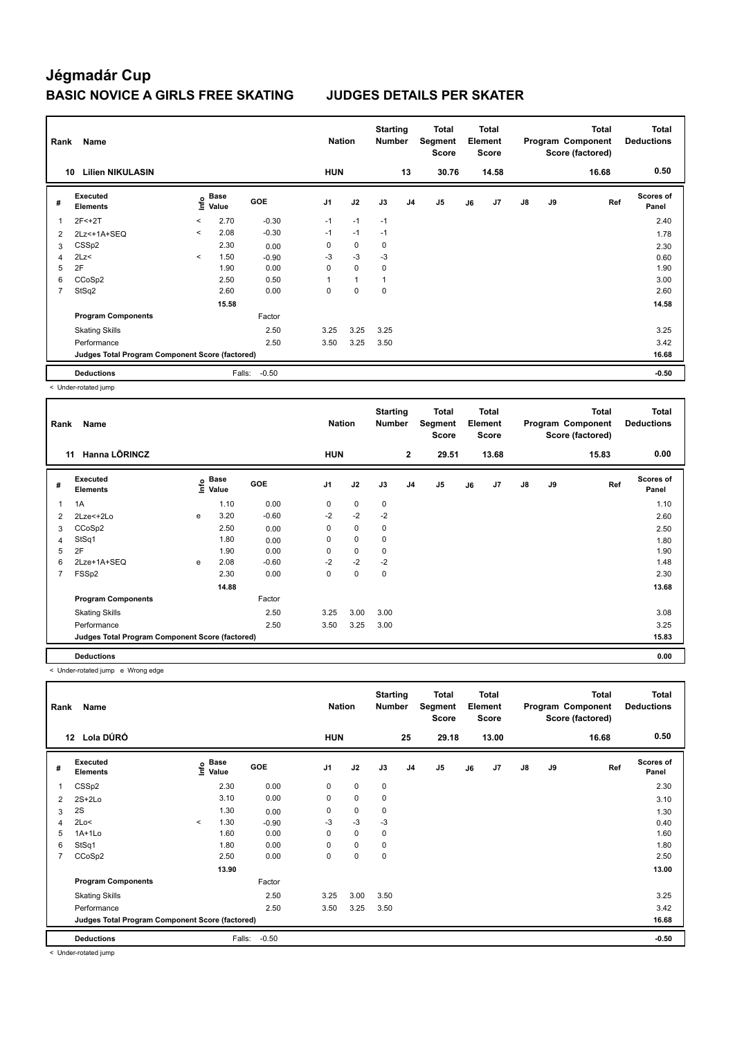| Rank | Name<br><b>Lilien NIKULASIN</b><br>10           |         |               |         |            | <b>Nation</b> | <b>Starting</b><br><b>Number</b> |                | <b>Total</b><br>Segment<br><b>Score</b> |    | <b>Total</b><br>Element<br>Score |    |    | <b>Total</b><br>Program Component<br>Score (factored) | <b>Total</b><br><b>Deductions</b> |
|------|-------------------------------------------------|---------|---------------|---------|------------|---------------|----------------------------------|----------------|-----------------------------------------|----|----------------------------------|----|----|-------------------------------------------------------|-----------------------------------|
|      |                                                 |         |               |         | <b>HUN</b> |               |                                  | 13             | 30.76                                   |    | 14.58                            |    |    | 16.68                                                 | 0.50                              |
| #    | Executed<br><b>Elements</b>                     | ١nf٥    | Base<br>Value | GOE     | J1         | J2            | J3                               | J <sub>4</sub> | J <sub>5</sub>                          | J6 | J7                               | J8 | J9 | Ref                                                   | Scores of<br>Panel                |
| 1    | $2F < +2T$                                      | $\prec$ | 2.70          | $-0.30$ | $-1$       | $-1$          | $-1$                             |                |                                         |    |                                  |    |    |                                                       | 2.40                              |
| 2    | 2Lz<+1A+SEQ                                     | $\prec$ | 2.08          | $-0.30$ | $-1$       | $-1$          | $-1$                             |                |                                         |    |                                  |    |    |                                                       | 1.78                              |
| 3    | CSS <sub>p2</sub>                               |         | 2.30          | 0.00    | 0          | $\mathbf 0$   | 0                                |                |                                         |    |                                  |    |    |                                                       | 2.30                              |
| 4    | 2Lz<                                            | $\prec$ | 1.50          | $-0.90$ | $-3$       | $-3$          | $-3$                             |                |                                         |    |                                  |    |    |                                                       | 0.60                              |
| 5    | 2F                                              |         | 1.90          | 0.00    | 0          | 0             | 0                                |                |                                         |    |                                  |    |    |                                                       | 1.90                              |
| 6    | CCoSp2                                          |         | 2.50          | 0.50    |            | $\mathbf{1}$  | 1                                |                |                                         |    |                                  |    |    |                                                       | 3.00                              |
| 7    | StSq2                                           |         | 2.60          | 0.00    | 0          | 0             | 0                                |                |                                         |    |                                  |    |    |                                                       | 2.60                              |
|      |                                                 |         | 15.58         |         |            |               |                                  |                |                                         |    |                                  |    |    |                                                       | 14.58                             |
|      | <b>Program Components</b>                       |         |               | Factor  |            |               |                                  |                |                                         |    |                                  |    |    |                                                       |                                   |
|      | <b>Skating Skills</b>                           |         |               | 2.50    | 3.25       | 3.25          | 3.25                             |                |                                         |    |                                  |    |    |                                                       | 3.25                              |
|      | Performance                                     |         |               | 2.50    | 3.50       | 3.25          | 3.50                             |                |                                         |    |                                  |    |    |                                                       | 3.42                              |
|      | Judges Total Program Component Score (factored) |         |               |         |            |               |                                  |                |                                         |    |                                  |    |    |                                                       | 16.68                             |
|      | <b>Deductions</b>                               |         | Falls:        | $-0.50$ |            |               |                                  |                |                                         |    |                                  |    |    |                                                       | $-0.50$                           |

< Under-rotated jump

| Rank | Name                                            |      | <b>Nation</b>        |            | <b>Starting</b><br><b>Number</b> |      | <b>Total</b><br>Segment<br>Score |                | <b>Total</b><br>Element<br><b>Score</b> |    |       | Total<br>Program Component<br>Score (factored) | <b>Total</b><br><b>Deductions</b> |       |                    |
|------|-------------------------------------------------|------|----------------------|------------|----------------------------------|------|----------------------------------|----------------|-----------------------------------------|----|-------|------------------------------------------------|-----------------------------------|-------|--------------------|
|      | Hanna LÕRINCZ<br>11                             |      |                      |            | <b>HUN</b>                       |      |                                  | $\mathbf{2}$   | 29.51                                   |    | 13.68 |                                                |                                   | 15.83 | 0.00               |
| #    | Executed<br><b>Elements</b>                     | lnfo | <b>Base</b><br>Value | <b>GOE</b> | J <sub>1</sub>                   | J2   | J3                               | J <sub>4</sub> | J5                                      | J6 | J7    | J8                                             | J9                                | Ref   | Scores of<br>Panel |
| 1    | 1A                                              |      | 1.10                 | 0.00       | 0                                | 0    | $\mathbf 0$                      |                |                                         |    |       |                                                |                                   |       | 1.10               |
| 2    | 2Lze<+2Lo                                       | e    | 3.20                 | $-0.60$    | $-2$                             | $-2$ | $-2$                             |                |                                         |    |       |                                                |                                   |       | 2.60               |
| 3    | CCoSp2                                          |      | 2.50                 | 0.00       | 0                                | 0    | 0                                |                |                                         |    |       |                                                |                                   |       | 2.50               |
| 4    | StSq1                                           |      | 1.80                 | 0.00       | 0                                | 0    | $\mathbf 0$                      |                |                                         |    |       |                                                |                                   |       | 1.80               |
| 5    | 2F                                              |      | 1.90                 | 0.00       | $\Omega$                         | 0    | $\mathbf 0$                      |                |                                         |    |       |                                                |                                   |       | 1.90               |
| 6    | 2Lze+1A+SEQ                                     | e    | 2.08                 | $-0.60$    | $-2$                             | $-2$ | $-2$                             |                |                                         |    |       |                                                |                                   |       | 1.48               |
| 7    | FSSp2                                           |      | 2.30                 | 0.00       | 0                                | 0    | $\mathbf 0$                      |                |                                         |    |       |                                                |                                   |       | 2.30               |
|      |                                                 |      | 14.88                |            |                                  |      |                                  |                |                                         |    |       |                                                |                                   |       | 13.68              |
|      | <b>Program Components</b>                       |      |                      | Factor     |                                  |      |                                  |                |                                         |    |       |                                                |                                   |       |                    |
|      | <b>Skating Skills</b>                           |      |                      | 2.50       | 3.25                             | 3.00 | 3.00                             |                |                                         |    |       |                                                |                                   |       | 3.08               |
|      | Performance                                     |      |                      | 2.50       | 3.50                             | 3.25 | 3.00                             |                |                                         |    |       |                                                |                                   |       | 3.25               |
|      | Judges Total Program Component Score (factored) |      |                      |            |                                  |      |                                  |                |                                         |    |       |                                                |                                   |       | 15.83              |
|      | <b>Deductions</b>                               |      |                      |            |                                  |      |                                  |                |                                         |    |       |                                                |                                   |       | 0.00               |

< Under-rotated jump e Wrong edge

| Rank | Name                                            |         |                                    |            | <b>Nation</b>  |             | <b>Starting</b><br><b>Number</b> |                | Total<br>Segment<br><b>Score</b> |    | <b>Total</b><br>Element<br><b>Score</b> |               |    | <b>Total</b><br>Program Component<br>Score (factored) | <b>Total</b><br><b>Deductions</b> |
|------|-------------------------------------------------|---------|------------------------------------|------------|----------------|-------------|----------------------------------|----------------|----------------------------------|----|-----------------------------------------|---------------|----|-------------------------------------------------------|-----------------------------------|
|      | Lola DÚRÓ<br>12 <sup>12</sup>                   |         |                                    |            | <b>HUN</b>     |             |                                  | 25             | 29.18                            |    | 13.00                                   |               |    | 16.68                                                 | 0.50                              |
| #    | Executed<br><b>Elements</b>                     |         | <b>Base</b><br>$\frac{6}{5}$ Value | <b>GOE</b> | J <sub>1</sub> | J2          | J3                               | J <sub>4</sub> | J5                               | J6 | J7                                      | $\mathsf{J}8$ | J9 | Ref                                                   | Scores of<br>Panel                |
| 1    | CSS <sub>p2</sub>                               |         | 2.30                               | 0.00       | $\mathbf 0$    | $\mathbf 0$ | $\mathbf 0$                      |                |                                  |    |                                         |               |    |                                                       | 2.30                              |
| 2    | $2S+2Lo$                                        |         | 3.10                               | 0.00       | $\mathbf 0$    | $\mathbf 0$ | $\pmb{0}$                        |                |                                  |    |                                         |               |    |                                                       | 3.10                              |
| 3    | 2S                                              |         | 1.30                               | 0.00       | 0              | 0           | 0                                |                |                                  |    |                                         |               |    |                                                       | 1.30                              |
| 4    | 2Lo<                                            | $\prec$ | 1.30                               | $-0.90$    | $-3$           | $-3$        | $-3$                             |                |                                  |    |                                         |               |    |                                                       | 0.40                              |
| 5    | $1A+1Lo$                                        |         | 1.60                               | 0.00       | 0              | $\mathbf 0$ | $\mathbf 0$                      |                |                                  |    |                                         |               |    |                                                       | 1.60                              |
| 6    | StSq1                                           |         | 1.80                               | 0.00       | 0              | $\mathbf 0$ | 0                                |                |                                  |    |                                         |               |    |                                                       | 1.80                              |
| 7    | CCoSp2                                          |         | 2.50                               | 0.00       | 0              | $\pmb{0}$   | 0                                |                |                                  |    |                                         |               |    |                                                       | 2.50                              |
|      |                                                 |         | 13.90                              |            |                |             |                                  |                |                                  |    |                                         |               |    |                                                       | 13.00                             |
|      | <b>Program Components</b>                       |         |                                    | Factor     |                |             |                                  |                |                                  |    |                                         |               |    |                                                       |                                   |
|      | <b>Skating Skills</b>                           |         |                                    | 2.50       | 3.25           | 3.00        | 3.50                             |                |                                  |    |                                         |               |    |                                                       | 3.25                              |
|      | Performance                                     |         |                                    | 2.50       | 3.50           | 3.25        | 3.50                             |                |                                  |    |                                         |               |    |                                                       | 3.42                              |
|      | Judges Total Program Component Score (factored) |         |                                    |            |                |             |                                  |                |                                  |    |                                         |               |    |                                                       | 16.68                             |
|      | <b>Deductions</b>                               |         | Falls:                             | $-0.50$    |                |             |                                  |                |                                  |    |                                         |               |    |                                                       | $-0.50$                           |

< Under-rotated jump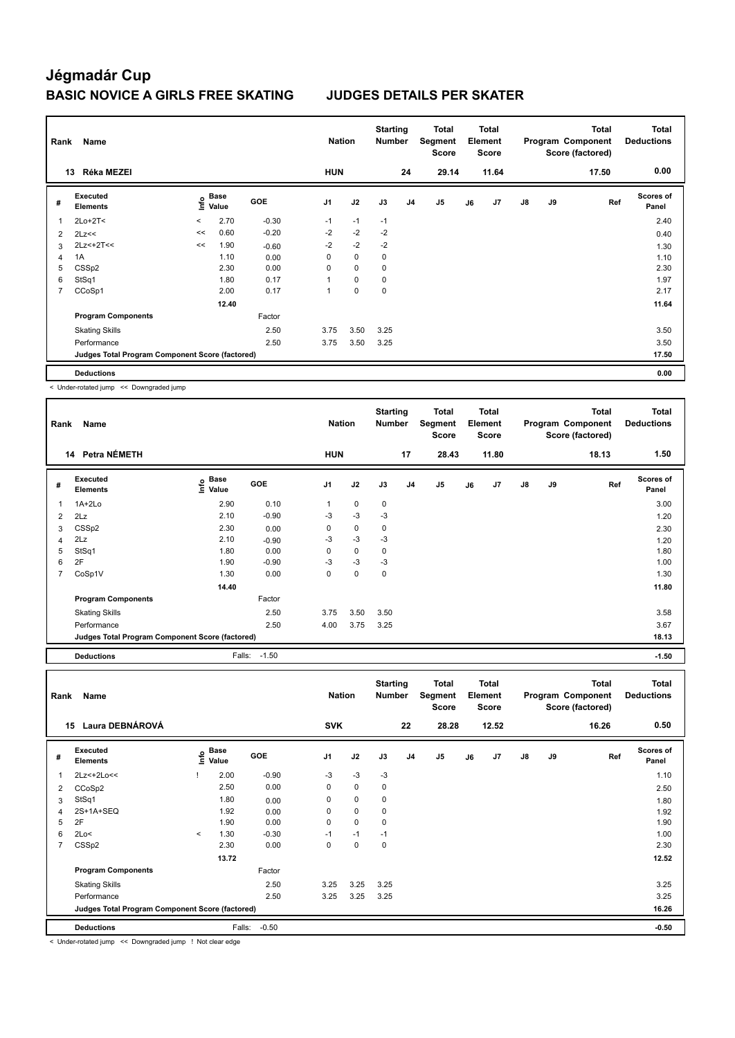| Rank           | Name                                            |                          | <b>Nation</b> |            | <b>Starting</b><br><b>Number</b> |             | Total<br>Segment<br><b>Score</b> |                | <b>Total</b><br>Element<br><b>Score</b> |    |       | <b>Total</b><br>Program Component<br>Score (factored) | <b>Total</b><br><b>Deductions</b> |       |                    |
|----------------|-------------------------------------------------|--------------------------|---------------|------------|----------------------------------|-------------|----------------------------------|----------------|-----------------------------------------|----|-------|-------------------------------------------------------|-----------------------------------|-------|--------------------|
|                | Réka MEZEI<br>13                                |                          |               |            | <b>HUN</b>                       |             |                                  | 24             | 29.14                                   |    | 11.64 |                                                       |                                   | 17.50 | 0.00               |
| #              | Executed<br><b>Elements</b>                     | ۴                        | Base<br>Value | <b>GOE</b> | J <sub>1</sub>                   | J2          | J3                               | J <sub>4</sub> | J5                                      | J6 | J7    | $\mathsf{J}8$                                         | <b>J9</b>                         | Ref   | Scores of<br>Panel |
| 1              | $2Lo+2T<$                                       | $\overline{\phantom{a}}$ | 2.70          | $-0.30$    | $-1$                             | $-1$        | $-1$                             |                |                                         |    |       |                                                       |                                   |       | 2.40               |
| $\overline{2}$ | 2Lz<<                                           | <<                       | 0.60          | $-0.20$    | $-2$                             | $-2$        | $-2$                             |                |                                         |    |       |                                                       |                                   |       | 0.40               |
| 3              | $2Lz<+2T<<$                                     | <<                       | 1.90          | $-0.60$    | $-2$                             | $-2$        | $-2$                             |                |                                         |    |       |                                                       |                                   |       | 1.30               |
| 4              | 1A                                              |                          | 1.10          | 0.00       | 0                                | $\mathbf 0$ | 0                                |                |                                         |    |       |                                                       |                                   |       | 1.10               |
| 5              | CSS <sub>p2</sub>                               |                          | 2.30          | 0.00       | 0                                | $\mathbf 0$ | 0                                |                |                                         |    |       |                                                       |                                   |       | 2.30               |
| 6              | StSq1                                           |                          | 1.80          | 0.17       | 1                                | 0           | 0                                |                |                                         |    |       |                                                       |                                   |       | 1.97               |
| $\overline{7}$ | CCoSp1                                          |                          | 2.00          | 0.17       | 1                                | 0           | 0                                |                |                                         |    |       |                                                       |                                   |       | 2.17               |
|                |                                                 |                          | 12.40         |            |                                  |             |                                  |                |                                         |    |       |                                                       |                                   |       | 11.64              |
|                | <b>Program Components</b>                       |                          |               | Factor     |                                  |             |                                  |                |                                         |    |       |                                                       |                                   |       |                    |
|                | <b>Skating Skills</b>                           |                          |               | 2.50       | 3.75                             | 3.50        | 3.25                             |                |                                         |    |       |                                                       |                                   |       | 3.50               |
|                | Performance                                     |                          |               | 2.50       | 3.75                             | 3.50        | 3.25                             |                |                                         |    |       |                                                       |                                   |       | 3.50               |
|                | Judges Total Program Component Score (factored) |                          |               |            |                                  |             |                                  |                |                                         |    |       |                                                       |                                   |       | 17.50              |
|                | <b>Deductions</b>                               |                          |               |            |                                  |             |                                  |                |                                         |    |       |                                                       |                                   |       | 0.00               |

< Under-rotated jump << Downgraded jump

| Rank           | Name                                            |                              |              | <b>Nation</b>  |             | <b>Starting</b><br><b>Number</b> |                | Total<br>Segment<br><b>Score</b> |    | Total<br>Element<br><b>Score</b> |               |    | <b>Total</b><br>Program Component<br>Score (factored) | <b>Total</b><br><b>Deductions</b> |
|----------------|-------------------------------------------------|------------------------------|--------------|----------------|-------------|----------------------------------|----------------|----------------------------------|----|----------------------------------|---------------|----|-------------------------------------------------------|-----------------------------------|
|                | 14 Petra NÉMETH                                 |                              |              | <b>HUN</b>     |             |                                  | 17             | 28.43                            |    | 11.80                            |               |    | 18.13                                                 | 1.50                              |
| #              | Executed<br><b>Elements</b>                     | <b>Base</b><br>lnfo<br>Value | <b>GOE</b>   | J <sub>1</sub> | J2          | J3                               | J <sub>4</sub> | J <sub>5</sub>                   | J6 | J7                               | $\mathsf{J}8$ | J9 | Ref                                                   | <b>Scores of</b><br>Panel         |
| 1              | $1A+2Lo$                                        | 2.90                         | 0.10         |                | $\mathbf 0$ | $\mathbf 0$                      |                |                                  |    |                                  |               |    |                                                       | 3.00                              |
| $\overline{2}$ | 2Lz                                             | 2.10                         | $-0.90$      | $-3$           | $-3$        | -3                               |                |                                  |    |                                  |               |    |                                                       | 1.20                              |
| 3              | CSS <sub>p2</sub>                               | 2.30                         | 0.00         | 0              | $\mathbf 0$ | $\mathbf 0$                      |                |                                  |    |                                  |               |    |                                                       | 2.30                              |
| 4              | 2Lz                                             | 2.10                         | $-0.90$      | $-3$           | $-3$        | $-3$                             |                |                                  |    |                                  |               |    |                                                       | 1.20                              |
| 5              | StSq1                                           | 1.80                         | 0.00         | 0              | $\mathbf 0$ | 0                                |                |                                  |    |                                  |               |    |                                                       | 1.80                              |
| 6              | 2F                                              | 1.90                         | $-0.90$      | $-3$           | $-3$        | $-3$                             |                |                                  |    |                                  |               |    |                                                       | 1.00                              |
| 7              | CoSp1V                                          | 1.30                         | 0.00         | 0              | $\mathbf 0$ | $\mathbf 0$                      |                |                                  |    |                                  |               |    |                                                       | 1.30                              |
|                |                                                 | 14.40                        |              |                |             |                                  |                |                                  |    |                                  |               |    |                                                       | 11.80                             |
|                | <b>Program Components</b>                       |                              | Factor       |                |             |                                  |                |                                  |    |                                  |               |    |                                                       |                                   |
|                | <b>Skating Skills</b>                           |                              | 2.50         | 3.75           | 3.50        | 3.50                             |                |                                  |    |                                  |               |    |                                                       | 3.58                              |
|                | Performance                                     |                              | 2.50         | 4.00           | 3.75        | 3.25                             |                |                                  |    |                                  |               |    |                                                       | 3.67                              |
|                | Judges Total Program Component Score (factored) |                              |              |                |             |                                  |                |                                  |    |                                  |               |    |                                                       | 18.13                             |
|                | <b>Deductions</b>                               |                              | Falls: -1.50 |                |             |                                  |                |                                  |    |                                  |               |    |                                                       | $-1.50$                           |

| Rank           | Name                                            |         |                           |            | <b>Nation</b>  |             | <b>Starting</b><br><b>Number</b> |                | Total<br>Segment<br><b>Score</b> |    | <b>Total</b><br>Element<br>Score |               |    | <b>Total</b><br>Program Component<br>Score (factored) | Total<br><b>Deductions</b> |
|----------------|-------------------------------------------------|---------|---------------------------|------------|----------------|-------------|----------------------------------|----------------|----------------------------------|----|----------------------------------|---------------|----|-------------------------------------------------------|----------------------------|
| 15             | Laura DEBNÁROVÁ                                 |         |                           |            | <b>SVK</b>     |             |                                  | 22             | 28.28                            |    | 12.52                            |               |    | 16.26                                                 | 0.50                       |
| #              | Executed<br>Elements                            |         | Base<br>o Base<br>⊆ Value | <b>GOE</b> | J <sub>1</sub> | J2          | J3                               | J <sub>4</sub> | J <sub>5</sub>                   | J6 | J7                               | $\mathsf{J}8$ | J9 | Ref                                                   | <b>Scores of</b><br>Panel  |
| $\overline{1}$ | 2Lz<+2Lo<<                                      |         | 2.00                      | $-0.90$    | $-3$           | $-3$        | $-3$                             |                |                                  |    |                                  |               |    |                                                       | 1.10                       |
| 2              | CCoSp2                                          |         | 2.50                      | 0.00       | 0              | $\mathbf 0$ | 0                                |                |                                  |    |                                  |               |    |                                                       | 2.50                       |
| 3              | StSq1                                           |         | 1.80                      | 0.00       | 0              | $\mathbf 0$ | $\mathbf 0$                      |                |                                  |    |                                  |               |    |                                                       | 1.80                       |
| 4              | 2S+1A+SEQ                                       |         | 1.92                      | 0.00       | 0              | $\mathbf 0$ | $\mathbf 0$                      |                |                                  |    |                                  |               |    |                                                       | 1.92                       |
| 5              | 2F                                              |         | 1.90                      | 0.00       | 0              | $\mathbf 0$ | $\mathbf 0$                      |                |                                  |    |                                  |               |    |                                                       | 1.90                       |
| 6              | 2Lo<                                            | $\,<\,$ | 1.30                      | $-0.30$    | $-1$           | $-1$        | $-1$                             |                |                                  |    |                                  |               |    |                                                       | 1.00                       |
| $\overline{7}$ | CSS <sub>p2</sub>                               |         | 2.30                      | 0.00       | $\Omega$       | 0           | $\mathbf 0$                      |                |                                  |    |                                  |               |    |                                                       | 2.30                       |
|                |                                                 |         | 13.72                     |            |                |             |                                  |                |                                  |    |                                  |               |    |                                                       | 12.52                      |
|                | <b>Program Components</b>                       |         |                           | Factor     |                |             |                                  |                |                                  |    |                                  |               |    |                                                       |                            |
|                | <b>Skating Skills</b>                           |         |                           | 2.50       | 3.25           | 3.25        | 3.25                             |                |                                  |    |                                  |               |    |                                                       | 3.25                       |
|                | Performance                                     |         |                           | 2.50       | 3.25           | 3.25        | 3.25                             |                |                                  |    |                                  |               |    |                                                       | 3.25                       |
|                | Judges Total Program Component Score (factored) |         |                           |            |                |             |                                  |                |                                  |    |                                  |               |    |                                                       | 16.26                      |
|                | <b>Deductions</b>                               |         | Falls:                    | $-0.50$    |                |             |                                  |                |                                  |    |                                  |               |    |                                                       | $-0.50$                    |

< Under-rotated jump << Downgraded jump ! Not clear edge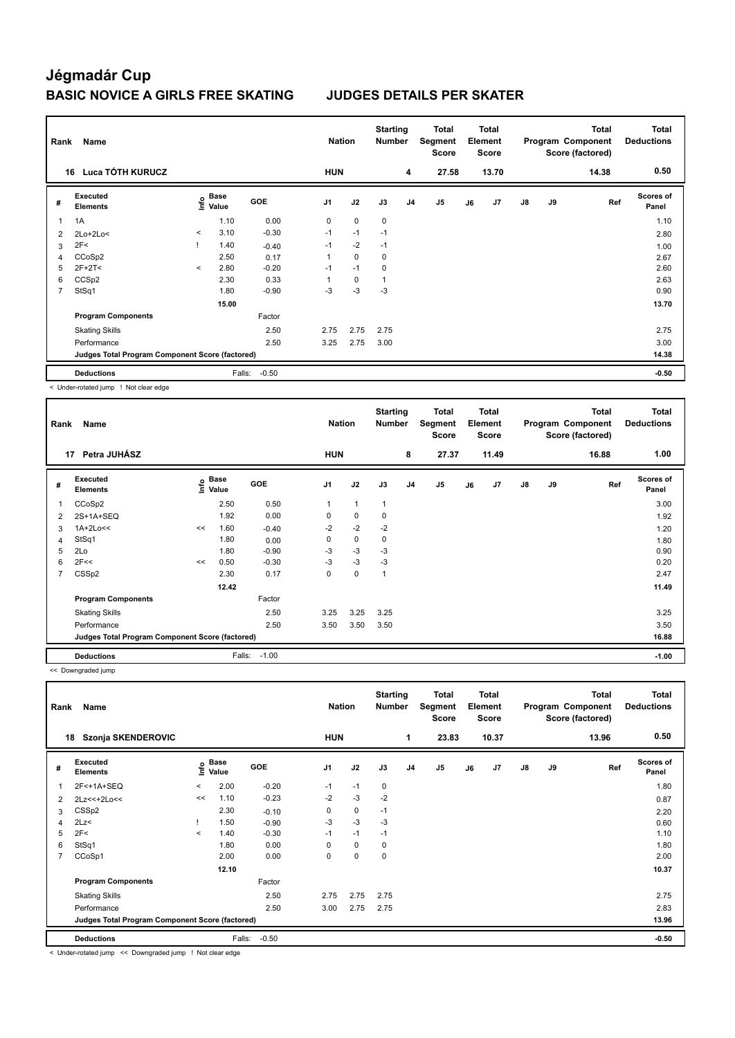| Name<br>Rank |                                                 |         |                                  |         | <b>Nation</b> |             | <b>Starting</b><br><b>Number</b> |                | <b>Total</b><br>Segment<br><b>Score</b> |    | <b>Total</b><br>Element<br>Score |    |    | <b>Total</b><br>Program Component<br>Score (factored) | <b>Total</b><br><b>Deductions</b> |
|--------------|-------------------------------------------------|---------|----------------------------------|---------|---------------|-------------|----------------------------------|----------------|-----------------------------------------|----|----------------------------------|----|----|-------------------------------------------------------|-----------------------------------|
| 16           | Luca TÓTH KURUCZ                                |         |                                  |         | <b>HUN</b>    |             |                                  | 4              | 27.58                                   |    | 13.70                            |    |    | 14.38                                                 | 0.50                              |
| #            | Executed<br><b>Elements</b>                     |         | <b>Base</b><br>e Base<br>⊆ Value | GOE     | J1            | J2          | J3                               | J <sub>4</sub> | J <sub>5</sub>                          | J6 | J7                               | J8 | J9 | Ref                                                   | <b>Scores of</b><br>Panel         |
| 1            | 1A                                              |         | 1.10                             | 0.00    | 0             | $\mathbf 0$ | $\mathbf 0$                      |                |                                         |    |                                  |    |    |                                                       | 1.10                              |
| 2            | $2Lo+2Lo<$                                      | $\prec$ | 3.10                             | $-0.30$ | $-1$          | $-1$        | $-1$                             |                |                                         |    |                                  |    |    |                                                       | 2.80                              |
| 3            | 2F<                                             |         | 1.40                             | $-0.40$ | $-1$          | $-2$        | $-1$                             |                |                                         |    |                                  |    |    |                                                       | 1.00                              |
| 4            | CCoSp2                                          |         | 2.50                             | 0.17    | 1             | $\mathbf 0$ | $\mathbf 0$                      |                |                                         |    |                                  |    |    |                                                       | 2.67                              |
| 5            | $2F+2T<$                                        | $\prec$ | 2.80                             | $-0.20$ | $-1$          | $-1$        | 0                                |                |                                         |    |                                  |    |    |                                                       | 2.60                              |
| 6            | CCS <sub>p2</sub>                               |         | 2.30                             | 0.33    |               | 0           | 1                                |                |                                         |    |                                  |    |    |                                                       | 2.63                              |
| 7            | StSq1                                           |         | 1.80                             | $-0.90$ | $-3$          | $-3$        | $-3$                             |                |                                         |    |                                  |    |    |                                                       | 0.90                              |
|              |                                                 |         | 15.00                            |         |               |             |                                  |                |                                         |    |                                  |    |    |                                                       | 13.70                             |
|              | <b>Program Components</b>                       |         |                                  | Factor  |               |             |                                  |                |                                         |    |                                  |    |    |                                                       |                                   |
|              | <b>Skating Skills</b>                           |         |                                  | 2.50    | 2.75          | 2.75        | 2.75                             |                |                                         |    |                                  |    |    |                                                       | 2.75                              |
|              | Performance                                     |         |                                  | 2.50    | 3.25          | 2.75        | 3.00                             |                |                                         |    |                                  |    |    |                                                       | 3.00                              |
|              | Judges Total Program Component Score (factored) |         |                                  |         |               |             |                                  |                |                                         |    |                                  |    |    |                                                       | 14.38                             |
|              | <b>Deductions</b>                               |         | Falls:                           | $-0.50$ |               |             |                                  |                |                                         |    |                                  |    |    |                                                       | $-0.50$                           |

< Under-rotated jump ! Not clear edge

|   | Name<br>Rank                                    |      |                      |            |                |      | <b>Starting</b><br><b>Number</b> |                | Total<br>Segment<br><b>Score</b> |    | <b>Total</b><br>Element<br><b>Score</b> |               |    | <b>Total</b><br>Program Component<br>Score (factored) | <b>Total</b><br><b>Deductions</b> |
|---|-------------------------------------------------|------|----------------------|------------|----------------|------|----------------------------------|----------------|----------------------------------|----|-----------------------------------------|---------------|----|-------------------------------------------------------|-----------------------------------|
|   | Petra JUHÁSZ<br>17                              |      |                      |            | <b>HUN</b>     |      |                                  | 8              | 27.37                            |    | 11.49                                   |               |    | 16.88                                                 | 1.00                              |
| # | Executed<br><b>Elements</b>                     | ١nf٥ | <b>Base</b><br>Value | <b>GOE</b> | J <sub>1</sub> | J2   | J3                               | J <sub>4</sub> | J5                               | J6 | J7                                      | $\mathsf{J}8$ | J9 | Ref                                                   | Scores of<br>Panel                |
| 1 | CCoSp2                                          |      | 2.50                 | 0.50       | 1              | 1    | $\mathbf{1}$                     |                |                                  |    |                                         |               |    |                                                       | 3.00                              |
| 2 | 2S+1A+SEQ                                       |      | 1.92                 | 0.00       | 0              | 0    | 0                                |                |                                  |    |                                         |               |    |                                                       | 1.92                              |
| 3 | $1A+2Lo<<$                                      | <<   | 1.60                 | $-0.40$    | $-2$           | $-2$ | $-2$                             |                |                                  |    |                                         |               |    |                                                       | 1.20                              |
| 4 | StSq1                                           |      | 1.80                 | 0.00       | 0              | 0    | $\mathbf 0$                      |                |                                  |    |                                         |               |    |                                                       | 1.80                              |
| 5 | 2Lo                                             |      | 1.80                 | $-0.90$    | $-3$           | $-3$ | $-3$                             |                |                                  |    |                                         |               |    |                                                       | 0.90                              |
| 6 | 2F<<                                            | <<   | 0.50                 | $-0.30$    | $-3$           | $-3$ | $-3$                             |                |                                  |    |                                         |               |    |                                                       | 0.20                              |
| 7 | CSS <sub>p2</sub>                               |      | 2.30                 | 0.17       | 0              | 0    | 1                                |                |                                  |    |                                         |               |    |                                                       | 2.47                              |
|   |                                                 |      | 12.42                |            |                |      |                                  |                |                                  |    |                                         |               |    |                                                       | 11.49                             |
|   | <b>Program Components</b>                       |      |                      | Factor     |                |      |                                  |                |                                  |    |                                         |               |    |                                                       |                                   |
|   | <b>Skating Skills</b>                           |      |                      | 2.50       | 3.25           | 3.25 | 3.25                             |                |                                  |    |                                         |               |    |                                                       | 3.25                              |
|   | Performance                                     |      |                      | 2.50       | 3.50           | 3.50 | 3.50                             |                |                                  |    |                                         |               |    |                                                       | 3.50                              |
|   | Judges Total Program Component Score (factored) |      |                      |            |                |      |                                  |                |                                  |    |                                         |               |    |                                                       | 16.88                             |
|   | <b>Deductions</b>                               |      | Falls:               | $-1.00$    |                |      |                                  |                |                                  |    |                                         |               |    |                                                       | $-1.00$                           |

<< Downgraded jump

| Rank           | Name                                            |         |                                   |            | <b>Nation</b>  |             | <b>Starting</b><br><b>Number</b> |                | <b>Total</b><br>Segment<br><b>Score</b> |    | <b>Total</b><br>Element<br><b>Score</b> |    |    | <b>Total</b><br>Program Component<br>Score (factored) | <b>Total</b><br><b>Deductions</b> |
|----------------|-------------------------------------------------|---------|-----------------------------------|------------|----------------|-------------|----------------------------------|----------------|-----------------------------------------|----|-----------------------------------------|----|----|-------------------------------------------------------|-----------------------------------|
| 18             | Szonja SKENDEROVIC                              |         |                                   |            | <b>HUN</b>     |             |                                  | $\mathbf{1}$   | 23.83                                   |    | 10.37                                   |    |    | 13.96                                                 | 0.50                              |
| #              | Executed<br><b>Elements</b>                     |         | <b>Base</b><br>$\frac{e}{2}$ Base | <b>GOE</b> | J <sub>1</sub> | J2          | J3                               | J <sub>4</sub> | J5                                      | J6 | J7                                      | J8 | J9 | Ref                                                   | <b>Scores of</b><br>Panel         |
|                | 2F<+1A+SEQ                                      | $\,<\,$ | 2.00                              | $-0.20$    | $-1$           | $-1$        | 0                                |                |                                         |    |                                         |    |    |                                                       | 1.80                              |
| 2              | $2Lz<<+2Lo<<$                                   | <<      | 1.10                              | $-0.23$    | $-2$           | $-3$        | $-2$                             |                |                                         |    |                                         |    |    |                                                       | 0.87                              |
| 3              | CSS <sub>p2</sub>                               |         | 2.30                              | $-0.10$    | 0              | 0           | $-1$                             |                |                                         |    |                                         |    |    |                                                       | 2.20                              |
| 4              | 2Lz                                             |         | 1.50                              | $-0.90$    | -3             | $-3$        | -3                               |                |                                         |    |                                         |    |    |                                                       | 0.60                              |
| 5              | 2F<                                             | $\,<\,$ | 1.40                              | $-0.30$    | $-1$           | $-1$        | $-1$                             |                |                                         |    |                                         |    |    |                                                       | 1.10                              |
| 6              | StSq1                                           |         | 1.80                              | 0.00       | $\Omega$       | 0           | 0                                |                |                                         |    |                                         |    |    |                                                       | 1.80                              |
| $\overline{7}$ | CCoSp1                                          |         | 2.00                              | 0.00       | 0              | $\mathbf 0$ | $\mathbf 0$                      |                |                                         |    |                                         |    |    |                                                       | 2.00                              |
|                |                                                 |         | 12.10                             |            |                |             |                                  |                |                                         |    |                                         |    |    |                                                       | 10.37                             |
|                | <b>Program Components</b>                       |         |                                   | Factor     |                |             |                                  |                |                                         |    |                                         |    |    |                                                       |                                   |
|                | <b>Skating Skills</b>                           |         |                                   | 2.50       | 2.75           | 2.75        | 2.75                             |                |                                         |    |                                         |    |    |                                                       | 2.75                              |
|                | Performance                                     |         |                                   | 2.50       | 3.00           | 2.75        | 2.75                             |                |                                         |    |                                         |    |    |                                                       | 2.83                              |
|                | Judges Total Program Component Score (factored) |         |                                   |            |                |             |                                  |                |                                         |    |                                         |    |    |                                                       | 13.96                             |
|                | <b>Deductions</b>                               |         | Falls:                            | $-0.50$    |                |             |                                  |                |                                         |    |                                         |    |    |                                                       | $-0.50$                           |

< Under-rotated jump << Downgraded jump ! Not clear edge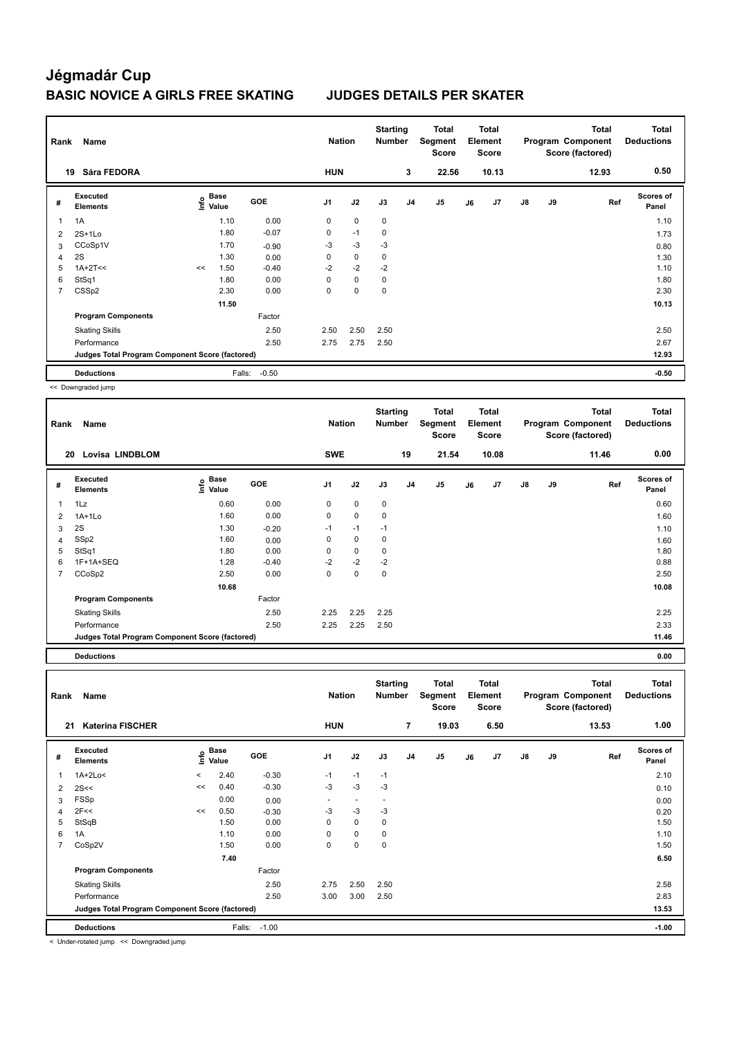| Rank<br>Name   |                                                 |    |                           |            |            | <b>Nation</b> | <b>Starting</b><br><b>Number</b> |                | Total<br>Segment<br><b>Score</b> |    | <b>Total</b><br>Element<br><b>Score</b> |               |    | <b>Total</b><br>Program Component<br>Score (factored) | <b>Total</b><br><b>Deductions</b> |
|----------------|-------------------------------------------------|----|---------------------------|------------|------------|---------------|----------------------------------|----------------|----------------------------------|----|-----------------------------------------|---------------|----|-------------------------------------------------------|-----------------------------------|
|                | Sára FEDORA<br>19                               |    |                           |            | <b>HUN</b> |               |                                  | 3              | 22.56                            |    | 10.13                                   |               |    | 12.93                                                 | 0.50                              |
| #              | Executed<br><b>Elements</b>                     |    | Base<br>e Base<br>E Value | <b>GOE</b> | J1         | J2            | J3                               | J <sub>4</sub> | J <sub>5</sub>                   | J6 | J7                                      | $\mathsf{J}8$ | J9 | Ref                                                   | <b>Scores of</b><br>Panel         |
|                | 1A                                              |    | 1.10                      | 0.00       | 0          | $\mathbf 0$   | $\mathbf 0$                      |                |                                  |    |                                         |               |    |                                                       | 1.10                              |
| $\overline{2}$ | $2S+1Lo$                                        |    | 1.80                      | $-0.07$    | 0          | $-1$          | $\mathbf 0$                      |                |                                  |    |                                         |               |    |                                                       | 1.73                              |
| 3              | CCoSp1V                                         |    | 1.70                      | $-0.90$    | $-3$       | $-3$          | $-3$                             |                |                                  |    |                                         |               |    |                                                       | 0.80                              |
| 4              | 2S                                              |    | 1.30                      | 0.00       | 0          | $\mathbf 0$   | 0                                |                |                                  |    |                                         |               |    |                                                       | 1.30                              |
| 5              | $1A+2T<<$                                       | << | 1.50                      | $-0.40$    | $-2$       | $-2$          | $-2$                             |                |                                  |    |                                         |               |    |                                                       | 1.10                              |
| 6              | StSq1                                           |    | 1.80                      | 0.00       | 0          | $\mathbf 0$   | $\mathbf 0$                      |                |                                  |    |                                         |               |    |                                                       | 1.80                              |
| $\overline{7}$ | CSS <sub>p2</sub>                               |    | 2.30                      | 0.00       | 0          | $\mathbf 0$   | 0                                |                |                                  |    |                                         |               |    |                                                       | 2.30                              |
|                |                                                 |    | 11.50                     |            |            |               |                                  |                |                                  |    |                                         |               |    |                                                       | 10.13                             |
|                | <b>Program Components</b>                       |    |                           | Factor     |            |               |                                  |                |                                  |    |                                         |               |    |                                                       |                                   |
|                | <b>Skating Skills</b>                           |    |                           | 2.50       | 2.50       | 2.50          | 2.50                             |                |                                  |    |                                         |               |    |                                                       | 2.50                              |
|                | Performance                                     |    |                           | 2.50       | 2.75       | 2.75          | 2.50                             |                |                                  |    |                                         |               |    |                                                       | 2.67                              |
|                | Judges Total Program Component Score (factored) |    |                           |            |            |               |                                  |                |                                  |    |                                         |               |    |                                                       | 12.93                             |
|                | <b>Deductions</b>                               |    | Falls:                    | $-0.50$    |            |               |                                  |                |                                  |    |                                         |               |    |                                                       | $-0.50$                           |

<< Downgraded jump

| Rank | Name                                            |                       |         | <b>Nation</b>  |             | <b>Starting</b><br><b>Number</b> |                | <b>Total</b><br>Segment<br>Score |    | <b>Total</b><br>Element<br><b>Score</b> |               |    | <b>Total</b><br>Program Component<br>Score (factored) | <b>Total</b><br><b>Deductions</b> |
|------|-------------------------------------------------|-----------------------|---------|----------------|-------------|----------------------------------|----------------|----------------------------------|----|-----------------------------------------|---------------|----|-------------------------------------------------------|-----------------------------------|
|      | <b>Lovisa LINDBLOM</b><br>20                    |                       |         | <b>SWE</b>     |             |                                  | 19             | 21.54                            |    | 10.08                                   |               |    | 11.46                                                 | 0.00                              |
| #    | Executed<br><b>Elements</b>                     | Base<br>١nf٥<br>Value | GOE     | J <sub>1</sub> | J2          | J3                               | J <sub>4</sub> | J <sub>5</sub>                   | J6 | J7                                      | $\mathsf{J}8$ | J9 | Ref                                                   | <b>Scores of</b><br>Panel         |
| 1    | 1Lz                                             | 0.60                  | 0.00    | 0              | $\mathbf 0$ | $\mathbf 0$                      |                |                                  |    |                                         |               |    |                                                       | 0.60                              |
| 2    | $1A+1L0$                                        | 1.60                  | 0.00    | 0              | $\mathbf 0$ | 0                                |                |                                  |    |                                         |               |    |                                                       | 1.60                              |
| 3    | 2S                                              | 1.30                  | $-0.20$ | $-1$           | $-1$        | $-1$                             |                |                                  |    |                                         |               |    |                                                       | 1.10                              |
| 4    | SSp2                                            | 1.60                  | 0.00    | 0              | 0           | 0                                |                |                                  |    |                                         |               |    |                                                       | 1.60                              |
| 5    | StSq1                                           | 1.80                  | 0.00    | 0              | $\mathbf 0$ | 0                                |                |                                  |    |                                         |               |    |                                                       | 1.80                              |
| 6    | 1F+1A+SEQ                                       | 1.28                  | $-0.40$ | $-2$           | $-2$        | $-2$                             |                |                                  |    |                                         |               |    |                                                       | 0.88                              |
| 7    | CCoSp2                                          | 2.50                  | 0.00    | 0              | $\mathbf 0$ | $\mathbf 0$                      |                |                                  |    |                                         |               |    |                                                       | 2.50                              |
|      |                                                 | 10.68                 |         |                |             |                                  |                |                                  |    |                                         |               |    |                                                       | 10.08                             |
|      | <b>Program Components</b>                       |                       | Factor  |                |             |                                  |                |                                  |    |                                         |               |    |                                                       |                                   |
|      | <b>Skating Skills</b>                           |                       | 2.50    | 2.25           | 2.25        | 2.25                             |                |                                  |    |                                         |               |    |                                                       | 2.25                              |
|      | Performance                                     |                       | 2.50    | 2.25           | 2.25        | 2.50                             |                |                                  |    |                                         |               |    |                                                       | 2.33                              |
|      | Judges Total Program Component Score (factored) |                       |         |                |             |                                  |                |                                  |    |                                         |               |    |                                                       | 11.46                             |
|      | <b>Deductions</b>                               |                       |         |                |             |                                  |                |                                  |    |                                         |               |    |                                                       | 0.00                              |

**Total Deductions Total Program Component Score (factored) Total Element Segment Score Total Score Starting Rank Name Nation Number # Executed Elements Base Value GOE J1 J2 J3 J4 J5 J6 J7 J8 J9 Scores of Panel** 1 1A+2Lo< < 2.40 -0.30 -1 -1 -1 **Ref**  1A+2Lo< < 2.10 **Info 21 Katerina FISCHER HUN 7 19.03 6.50 13.53 1.00** 2 2S<<  $2$  2S<<  $10$   $-1.30$   $-3$   $-3$   $-3$   $-3$   $-3$ 3 FSSp 0.00 0.00 - - - 0.00 4 2F<< 0.20 < 0.50 -0.30 -3 -3 -3 5 StSqB 1.50 0.00 0 0 0 1.50 6 1A 1.10 0.00 0 0 0 1.10 7 CoSp2V 1.50 0.00 0 0 0 1.50  **7.40 6.50 Program Components**  Skating Skills **2.50** 2.50 2.50 2.50 Factor 2.50 2.58 Performance 2.50 3.00 3.00 2.50 2.83 **Deductions** Falls: -1.00 **-1.00 Judges Total Program Component Score (factored) 13.53**

< Under-rotated jump << Downgraded jump